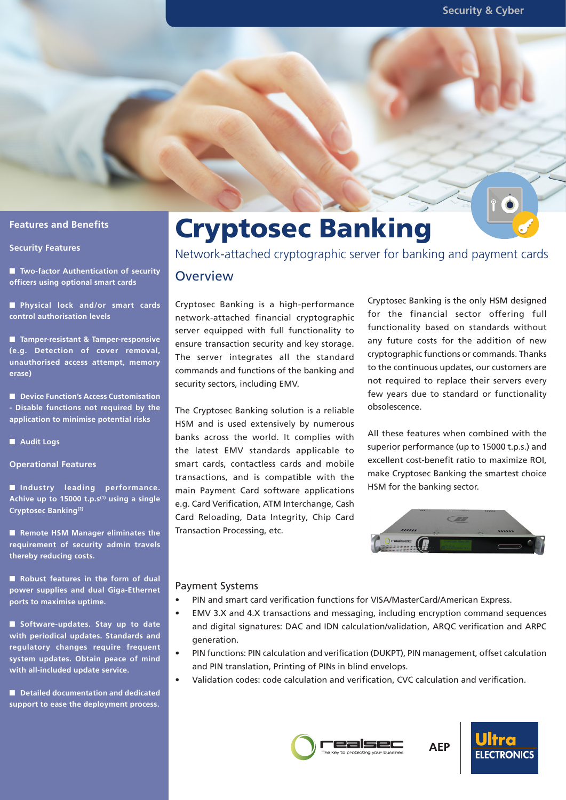## **Features and Benefits**

#### **Security Features**

■ **Two-factor Authentication of security officers using optional smart cards**

■ **Physical lock and/or smart cards control authorisation levels**

■ **Tamper-resistant & Tamper-responsive (e.g. Detection of cover removal, unauthorised access attempt, memory erase)**

■ **Device Function's Access Customisation - Disable functions not required by the application to minimise potential risks**

■ **Audit Logs**

**Operational Features**

■ **Industry leading performance. Achive up to 15000 t.p.s(1) using a single Cryptosec Banking(2)**

■ **Remote HSM Manager eliminates the requirement of security admin travels thereby reducing costs.**

■ **Robust features in the form of dual power supplies and dual Giga-Ethernet ports to maximise uptime.**

■ **Software-updates. Stay up to date with periodical updates. Standards and regulatory changes require frequent system updates. Obtain peace of mind with all-included update service.**

■ **Detailed documentation and dedicated support to ease the deployment process.**

# Cryptosec Banking

Network-attached cryptographic server for banking and payment cards

#### **Overview**

Cryptosec Banking is a high-performance network-attached financial cryptographic server equipped with full functionality to ensure transaction security and key storage. The server integrates all the standard commands and functions of the banking and security sectors, including EMV.

The Cryptosec Banking solution is a reliable HSM and is used extensively by numerous banks across the world. It complies with the latest EMV standards applicable to smart cards, contactless cards and mobile transactions, and is compatible with the main Payment Card software applications e.g. Card Verification, ATM Interchange, Cash Card Reloading, Data Integrity, Chip Card Transaction Processing, etc.

Cryptosec Banking is the only HSM designed for the financial sector offering full functionality based on standards without any future costs for the addition of new cryptographic functions or commands. Thanks to the continuous updates, our customers are not required to replace their servers every few years due to standard or functionality obsolescence.

All these features when combined with the superior performance (up to 15000 t.p.s.) and excellent cost-benefit ratio to maximize ROI, make Cryptosec Banking the smartest choice HSM for the banking sector.



#### Payment Systems

- PIN and smart card verification functions for VISA/MasterCard/American Express.
- EMV 3.X and 4.X transactions and messaging, including encryption command sequences and digital signatures: DAC and IDN calculation/validation, ARQC verification and ARPC generation.
- PIN functions: PIN calculation and verification (DUKPT), PIN management, offset calculation and PIN translation, Printing of PINs in blind envelops.
- Validation codes: code calculation and verification, CVC calculation and verification.





**AEP**